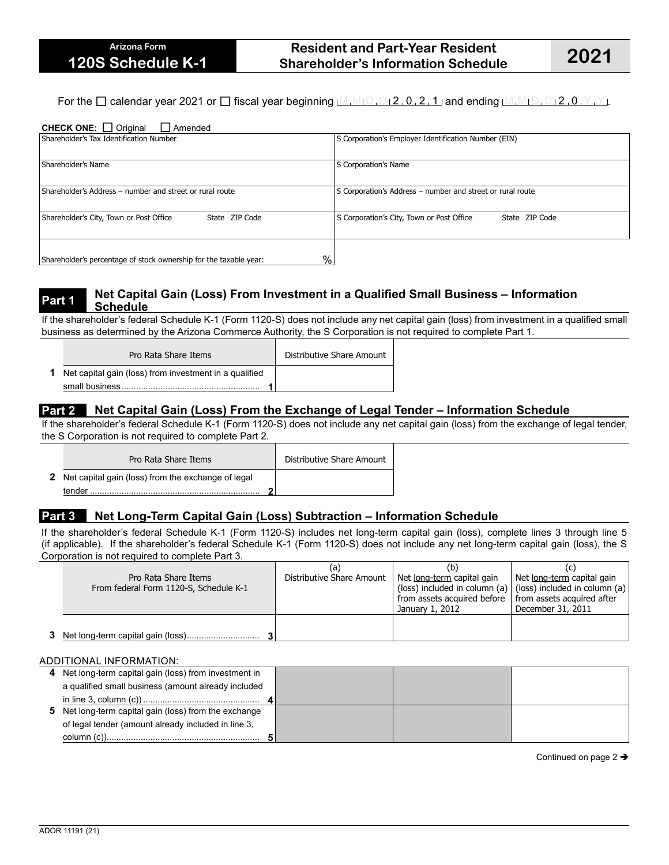# **Resident and Part-Year Resident Shareholder's Information Schedule 2021**

For the  $\Box$  calendar year 2021 or  $\Box$  fiscal year beginning  $M_1M_1D_1D_2$ , 0, 2, 1 and ending  $M_1M_1D_1D_12$ , 0,  $Y$ ,  $Y$ .

#### CHECK ONE: □ Original □ Amended

| Shareholder's Tax Identification Number                                   | S Corporation's Employer Identification Number (EIN)        |  |  |  |  |
|---------------------------------------------------------------------------|-------------------------------------------------------------|--|--|--|--|
| Shareholder's Name                                                        | S Corporation's Name                                        |  |  |  |  |
| Shareholder's Address - number and street or rural route                  | S Corporation's Address - number and street or rural route  |  |  |  |  |
| Shareholder's City, Town or Post Office<br>State ZIP Code                 | S Corporation's City, Town or Post Office<br>State ZIP Code |  |  |  |  |
| $\%$<br>Shareholder's percentage of stock ownership for the taxable year: |                                                             |  |  |  |  |

#### **Part 1 Net Capital Gain (Loss) From Investment in a Qualified Small Business – Information Schedule**

If the shareholder's federal Schedule K-1 (Form 1120-S) does not include any net capital gain (loss) from investment in a qualified small business as determined by the Arizona Commerce Authority, the S Corporation is not required to complete Part 1.

| Pro Rata Share Items                                            | Distributive Share Amount |
|-----------------------------------------------------------------|---------------------------|
| <b>1</b> Net capital gain (loss) from investment in a qualified |                           |
|                                                                 |                           |

# **Part 2 Net Capital Gain (Loss) From the Exchange of Legal Tender – Information Schedule**

If the shareholder's federal Schedule K-1 (Form 1120-S) does not include any net capital gain (loss) from the exchange of legal tender, the S Corporation is not required to complete Part 2.

| Pro Rata Share Items                                        | Distributive Share Amount |
|-------------------------------------------------------------|---------------------------|
| <b>2</b> Net capital gain (loss) from the exchange of legal |                           |
| tender                                                      |                           |

## **Part 3 Net Long-Term Capital Gain (Loss) Subtraction – Information Schedule**

If the shareholder's federal Schedule K-1 (Form 1120-S) includes net long-term capital gain (loss), complete lines 3 through line 5 (if applicable). If the shareholder's federal Schedule K-1 (Form 1120-S) does not include any net long-term capital gain (loss), the S Corporation is not required to complete Part 3.

| Pro Rata Share Items<br>From federal Form 1120-S, Schedule K-1 | (a<br>Distributive Share Amount | (b)<br>Net long-term capital gain<br>(loss) included in column (a) $ $ (loss) included in column (a)<br>from assets acquired before   from assets acquired after<br>January 1, 2012 | Net long-term capital gain<br>December 31, 2011 |  |
|----------------------------------------------------------------|---------------------------------|-------------------------------------------------------------------------------------------------------------------------------------------------------------------------------------|-------------------------------------------------|--|
|                                                                |                                 |                                                                                                                                                                                     |                                                 |  |

#### ADDITIONAL INFORMATION:

| 4 Net long-term capital gain (loss) from investment in |  |  |
|--------------------------------------------------------|--|--|
| a qualified small business (amount already included    |  |  |
|                                                        |  |  |
| 5 Net long-term capital gain (loss) from the exchange  |  |  |
| of legal tender (amount already included in line 3,    |  |  |
|                                                        |  |  |

Continued on page 2  $\rightarrow$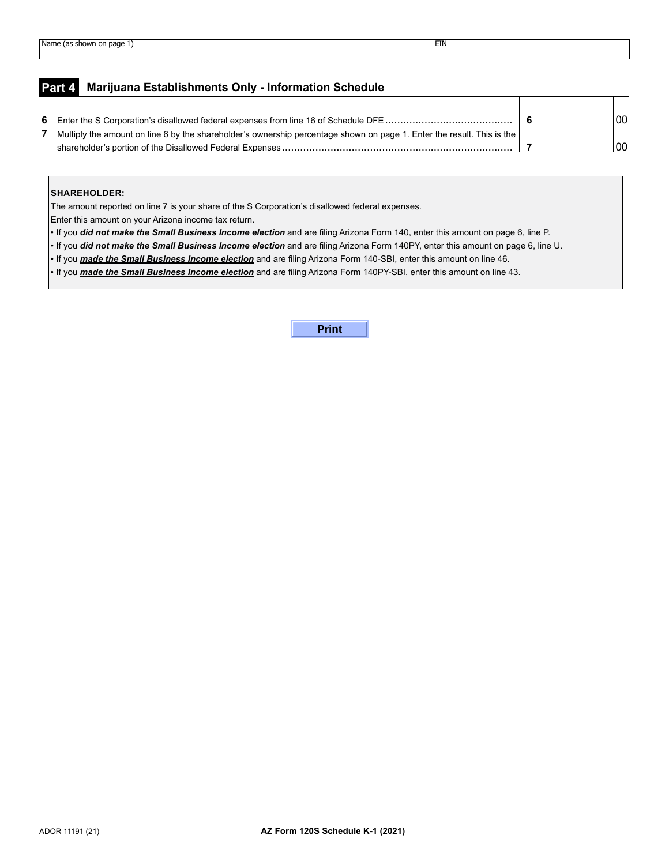# **Part 4 Marijuana Establishments Only - Information Schedule**

|                                                                                                                        |  | 00 <sup>1</sup> |
|------------------------------------------------------------------------------------------------------------------------|--|-----------------|
| Multiply the amount on line 6 by the shareholder's ownership percentage shown on page 1. Enter the result. This is the |  |                 |
|                                                                                                                        |  | 00              |

┑

#### **SHAREHOLDER:**

The amount reported on line 7 is your share of the S Corporation's disallowed federal expenses.

Enter this amount on your Arizona income tax return.

• If you *did not make the Small Business Income election* and are filing Arizona Form 140, enter this amount on page 6, line P.

• If you *did not make the Small Business Income election* and are filing Arizona Form 140PY, enter this amount on page 6, line U.

• If you *made the Small Business Income election* and are filing Arizona Form 140-SBI, enter this amount on line 46.

• If you *made the Small Business Income election* and are filing Arizona Form 140PY-SBI, enter this amount on line 43.

**Print**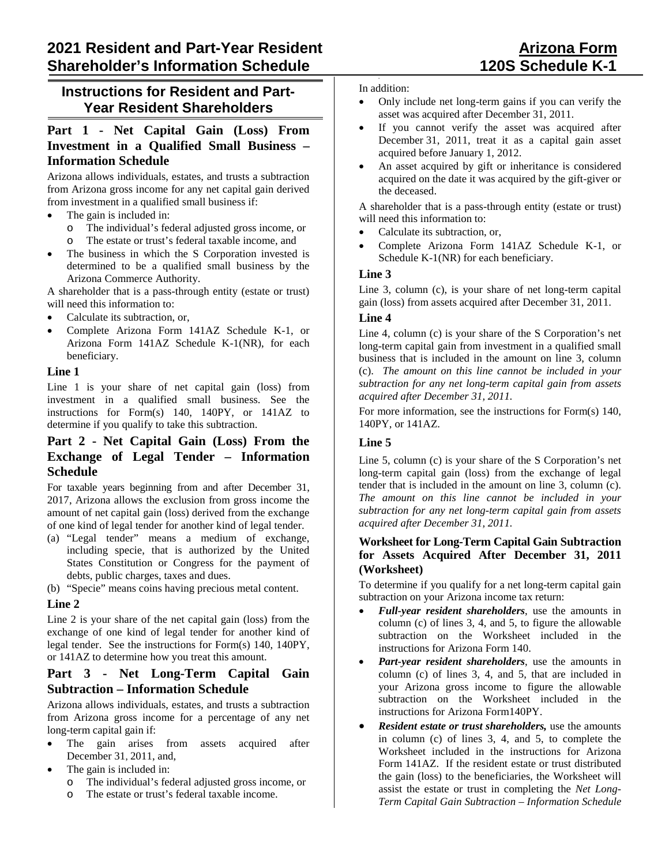# **Instructions for Resident and Part-Year Resident Shareholders**

# **Part 1 - Net Capital Gain (Loss) From Investment in a Qualified Small Business – Information Schedule**

Arizona allows individuals, estates, and trusts a subtraction from Arizona gross income for any net capital gain derived from investment in a qualified small business if:

- The gain is included in:
	- o The individual's federal adjusted gross income, or
	- o The estate or trust's federal taxable income, and
- The business in which the S Corporation invested is determined to be a qualified small business by the Arizona Commerce Authority.

A shareholder that is a pass-through entity (estate or trust) will need this information to:

- Calculate its subtraction, or,
- Complete Arizona Form 141AZ Schedule K-1, or Arizona Form 141AZ Schedule K-1(NR), for each beneficiary.

#### **Line 1**

Line 1 is your share of net capital gain (loss) from investment in a qualified small business. See the instructions for Form(s) 140, 140PY, or 141AZ to determine if you qualify to take this subtraction.

# **Part 2 - Net Capital Gain (Loss) From the Exchange of Legal Tender – Information Schedule**

For taxable years beginning from and after December 31, 2017, Arizona allows the exclusion from gross income the amount of net capital gain (loss) derived from the exchange of one kind of legal tender for another kind of legal tender.

- (a) "Legal tender" means a medium of exchange, including specie, that is authorized by the United States Constitution or Congress for the payment of debts, public charges, taxes and dues.
- (b) "Specie" means coins having precious metal content.

## **Line 2**

Line 2 is your share of the net capital gain (loss) from the exchange of one kind of legal tender for another kind of legal tender. See the instructions for Form(s) 140, 140PY, or 141AZ to determine how you treat this amount.

# **Part 3 - Net Long-Term Capital Gain Subtraction – Information Schedule**

Arizona allows individuals, estates, and trusts a subtraction from Arizona gross income for a percentage of any net long-term capital gain if:

- The gain arises from assets acquired after December 31, 2011, and,
- The gain is included in:
	- o The individual's federal adjusted gross income, or
	- o The estate or trust's federal taxable income.

#### In addition:

- Only include net long-term gains if you can verify the asset was acquired after December 31, 2011.
- If you cannot verify the asset was acquired after December 31, 2011, treat it as a capital gain asset acquired before January 1, 2012.
- An asset acquired by gift or inheritance is considered acquired on the date it was acquired by the gift-giver or the deceased.

A shareholder that is a pass-through entity (estate or trust) will need this information to:

- Calculate its subtraction, or,
- Complete Arizona Form 141AZ Schedule K-1, or Schedule K-1(NR) for each beneficiary.

## **Line 3**

Line 3, column (c), is your share of net long-term capital gain (loss) from assets acquired after December 31, 2011.

#### **Line 4**

Line 4, column (c) is your share of the S Corporation's net long-term capital gain from investment in a qualified small business that is included in the amount on line 3, column (c). *The amount on this line cannot be included in your subtraction for any net long-term capital gain from assets acquired after December 31, 2011.*

For more information, see the instructions for Form(s) 140, 140PY, or 141AZ.

## **Line 5**

Line 5, column (c) is your share of the S Corporation's net long-term capital gain (loss) from the exchange of legal tender that is included in the amount on line 3, column (c). *The amount on this line cannot be included in your subtraction for any net long-term capital gain from assets acquired after December 31, 2011.*

## **Worksheet for Long-Term Capital Gain Subtraction for Assets Acquired After December 31, 2011 (Worksheet)**

To determine if you qualify for a net long-term capital gain subtraction on your Arizona income tax return:

- *Full-year resident shareholders*, use the amounts in column (c) of lines 3, 4, and 5, to figure the allowable subtraction on the Worksheet included in the instructions for Arizona Form 140.
- *Part-year resident shareholders*, use the amounts in column (c) of lines 3, 4, and 5, that are included in your Arizona gross income to figure the allowable subtraction on the Worksheet included in the instructions for Arizona Form140PY.
- *Resident estate or trust shareholders,* use the amounts in column (c) of lines 3, 4, and 5, to complete the Worksheet included in the instructions for Arizona Form 141AZ. If the resident estate or trust distributed the gain (loss) to the beneficiaries, the Worksheet will assist the estate or trust in completing the *Net Long-Term Capital Gain Subtraction – Information Schedule*